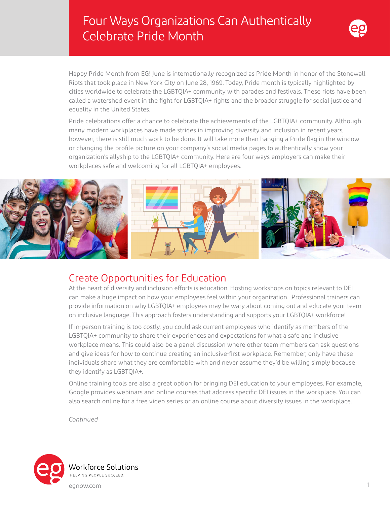# Four Ways Organizations Can Authentically Celebrate Pride Month



Happy Pride Month from EG! June is internationally recognized as Pride Month in honor of the Stonewall Riots that took place in New York City on June 28, 1969. Today, Pride month is typically highlighted by cities worldwide to celebrate the LGBTQIA+ community with parades and festivals. These riots have been called a watershed event in the fight for LGBTQIA+ rights and the broader struggle for social justice and equality in the United States.

Pride celebrations offer a chance to celebrate the achievements of the LGBTQIA+ community. Although many modern workplaces have made strides in improving diversity and inclusion in recent years, however, there is still much work to be done. It will take more than hanging a Pride flag in the window or changing the profile picture on your company's social media pages to authentically show your organization's allyship to the LGBTQIA+ community. Here are four ways employers can make their workplaces safe and welcoming for all LGBTQIA+ employees.



#### Create Opportunities for Education

At the heart of diversity and inclusion efforts is education. Hosting workshops on topics relevant to DEI can make a huge impact on how your employees feel within your organization. Professional trainers can provide information on why LGBTQIA+ employees may be wary about coming out and educate your team on inclusive language. This approach fosters understanding and supports your LGBTQIA+ workforce!

If in-person training is too costly, you could ask current employees who identify as members of the LGBTQIA+ community to share their experiences and expectations for what a safe and inclusive workplace means. This could also be a panel discussion where other team members can ask questions and give ideas for how to continue creating an inclusive-first workplace. Remember, only have these individuals share what they are comfortable with and never assume they'd be willing simply because they identify as LGBTQIA+.

Online training tools are also a great option for bringing DEI education to your employees. For example, Google provides webinars and online courses that address specific DEI issues in the workplace. You can also search online for a free video series or an online course about diversity issues in the workplace.

*Continued*

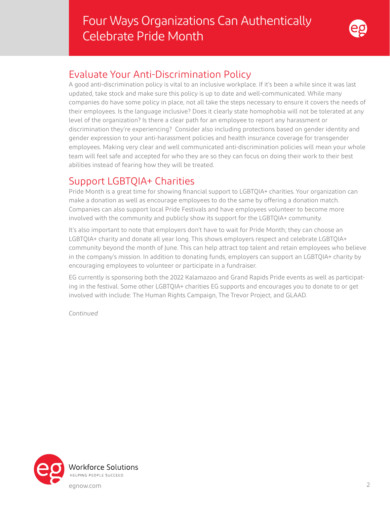

### Evaluate Your Anti-Discrimination Policy

A good anti-discrimination policy is vital to an inclusive workplace. If it's been a while since it was last updated, take stock and make sure this policy is up to date and well-communicated. While many companies do have some policy in place, not all take the steps necessary to ensure it covers the needs of their employees. Is the language inclusive? Does it clearly state homophobia will not be tolerated at any level of the organization? Is there a clear path for an employee to report any harassment or discrimination they're experiencing? Consider also including protections based on gender identity and gender expression to your anti-harassment policies and health insurance coverage for transgender employees. Making very clear and well communicated anti-discrimination policies will mean your whole team will feel safe and accepted for who they are so they can focus on doing their work to their best abilities instead of fearing how they will be treated.

## Support LGBTQIA+ Charities

Pride Month is a great time for showing financial support to LGBTQIA+ charities. Your organization can make a donation as well as encourage employees to do the same by offering a donation match. Companies can also support local Pride Festivals and have employees volunteer to become more involved with the community and publicly show its support for the LGBTQIA+ community.

It's also important to note that employers don't have to wait for Pride Month; they can choose an LGBTQIA+ charity and donate all year long. This shows employers respect and celebrate LGBTQIA+ community beyond the month of June. This can help attract top talent and retain employees who believe in the company's mission. In addition to donating funds, employers can support an LGBTQIA+ charity by encouraging employees to volunteer or participate in a fundraiser.

EG currently is sponsoring both the 2022 Kalamazoo and Grand Rapids Pride events as well as participating in the festival. Some other LGBTQIA+ charities EG supports and encourages you to donate to or get involved with include: The Human Rights Campaign, The Trevor Project, and GLAAD.

*Continued*